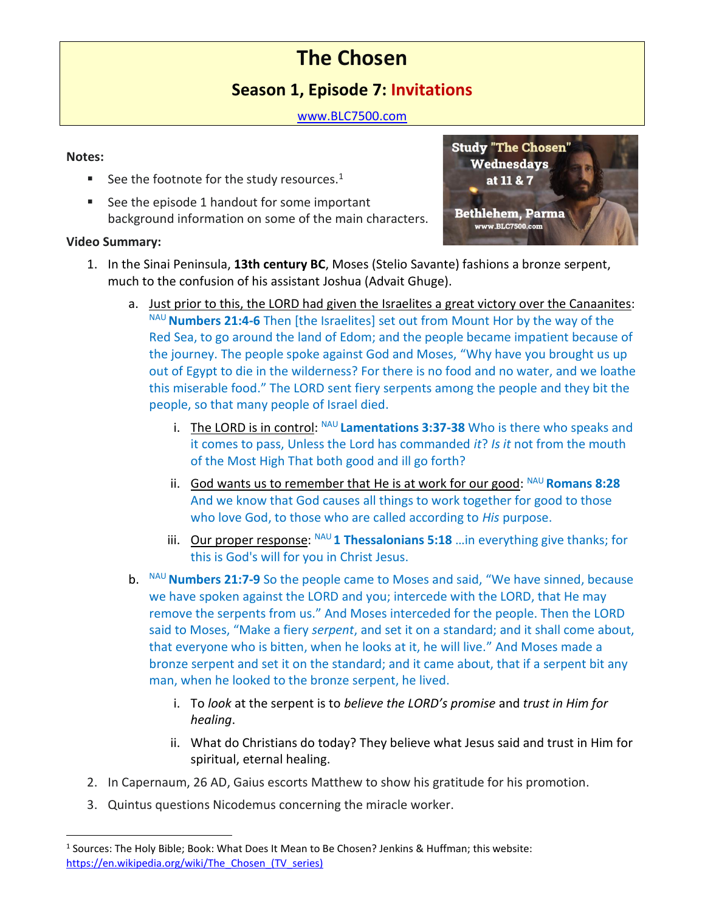# **The Chosen**

# **Season 1, Episode 7: Invitations**

[www.BLC7500.com](http://www.blc7500.com/)

## **Notes:**

- See the footnote for the study resources. $1$
- See the episode 1 handout for some important background information on some of the main characters.

## **Video Summary:**



- 1. In the Sinai Peninsula, **13th century BC**, Moses (Stelio Savante) fashions a bronze serpent, much to the confusion of his assistant Joshua (Advait Ghuge).
	- a. Just prior to this, the LORD had given the Israelites a great victory over the Canaanites: NAU **Numbers 21:4-6** Then [the Israelites] set out from Mount Hor by the way of the Red Sea, to go around the land of Edom; and the people became impatient because of the journey. The people spoke against God and Moses, "Why have you brought us up out of Egypt to die in the wilderness? For there is no food and no water, and we loathe this miserable food." The LORD sent fiery serpents among the people and they bit the people, so that many people of Israel died.
		- i. The LORD is in control: <sup>NAU</sup> Lamentations 3:37-38 Who is there who speaks and it comes to pass, Unless the Lord has commanded *it*? *Is it* not from the mouth of the Most High That both good and ill go forth?
		- ii. God wants us to remember that He is at work for our good: NAU **Romans 8:28** And we know that God causes all things to work together for good to those who love God, to those who are called according to *His* purpose.
		- iii. Our proper response: <sup>NAU</sup> 1 Thessalonians 5:18 ... in everything give thanks; for this is God's will for you in Christ Jesus.
	- b. NAU **Numbers 21:7-9** So the people came to Moses and said, "We have sinned, because we have spoken against the LORD and you; intercede with the LORD, that He may remove the serpents from us." And Moses interceded for the people. Then the LORD said to Moses, "Make a fiery *serpent*, and set it on a standard; and it shall come about, that everyone who is bitten, when he looks at it, he will live." And Moses made a bronze serpent and set it on the standard; and it came about, that if a serpent bit any man, when he looked to the bronze serpent, he lived.
		- i. To *look* at the serpent is to *believe the LORD's promise* and *trust in Him for healing*.
		- ii. What do Christians do today? They believe what Jesus said and trust in Him for spiritual, eternal healing.
- 2. In Capernaum, 26 AD, Gaius escorts Matthew to show his gratitude for his promotion.
- 3. Quintus questions Nicodemus concerning the miracle worker.

<sup>&</sup>lt;sup>1</sup> Sources: The Holy Bible; Book: What Does It Mean to Be Chosen? Jenkins & Huffman; this website: https://en.wikipedia.org/wiki/The Chosen (TV series)